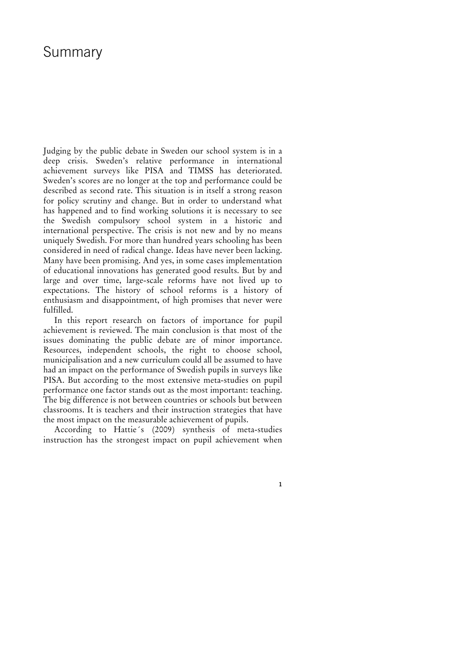## Summary

Judging by the public debate in Sweden our school system is in a deep crisis. Sweden's relative performance in international achievement surveys like PISA and TIMSS has deteriorated. Sweden's scores are no longer at the top and performance could be described as second rate. This situation is in itself a strong reason for policy scrutiny and change. But in order to understand what has happened and to find working solutions it is necessary to see the Swedish compulsory school system in a historic and international perspective. The crisis is not new and by no means uniquely Swedish. For more than hundred years schooling has been considered in need of radical change. Ideas have never been lacking. Many have been promising. And yes, in some cases implementation of educational innovations has generated good results. But by and large and over time, large-scale reforms have not lived up to expectations. The history of school reforms is a history of enthusiasm and disappointment, of high promises that never were fulfilled.

In this report research on factors of importance for pupil achievement is reviewed. The main conclusion is that most of the issues dominating the public debate are of minor importance. Resources, independent schools, the right to choose school, municipalisation and a new curriculum could all be assumed to have had an impact on the performance of Swedish pupils in surveys like PISA. But according to the most extensive meta-studies on pupil performance one factor stands out as the most important: teaching. The big difference is not between countries or schools but between classrooms. It is teachers and their instruction strategies that have the most impact on the measurable achievement of pupils.

According to Hattie´s (2009) synthesis of meta-studies instruction has the strongest impact on pupil achievement when

**1**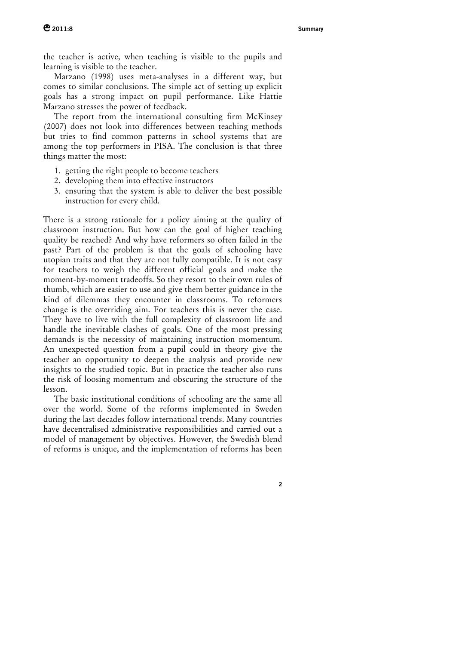the teacher is active, when teaching is visible to the pupils and learning is visible to the teacher.

Marzano (1998) uses meta-analyses in a different way, but comes to similar conclusions. The simple act of setting up explicit goals has a strong impact on pupil performance. Like Hattie Marzano stresses the power of feedback.

The report from the international consulting firm McKinsey (2007) does not look into differences between teaching methods but tries to find common patterns in school systems that are among the top performers in PISA. The conclusion is that three things matter the most:

- 1. getting the right people to become teachers
- 2. developing them into effective instructors
- 3. ensuring that the system is able to deliver the best possible instruction for every child.

There is a strong rationale for a policy aiming at the quality of classroom instruction. But how can the goal of higher teaching quality be reached? And why have reformers so often failed in the past? Part of the problem is that the goals of schooling have utopian traits and that they are not fully compatible. It is not easy for teachers to weigh the different official goals and make the moment-by-moment tradeoffs. So they resort to their own rules of thumb, which are easier to use and give them better guidance in the kind of dilemmas they encounter in classrooms. To reformers change is the overriding aim. For teachers this is never the case. They have to live with the full complexity of classroom life and handle the inevitable clashes of goals. One of the most pressing demands is the necessity of maintaining instruction momentum. An unexpected question from a pupil could in theory give the teacher an opportunity to deepen the analysis and provide new insights to the studied topic. But in practice the teacher also runs the risk of loosing momentum and obscuring the structure of the lesson.

The basic institutional conditions of schooling are the same all over the world. Some of the reforms implemented in Sweden during the last decades follow international trends. Many countries have decentralised administrative responsibilities and carried out a model of management by objectives. However, the Swedish blend of reforms is unique, and the implementation of reforms has been

**2**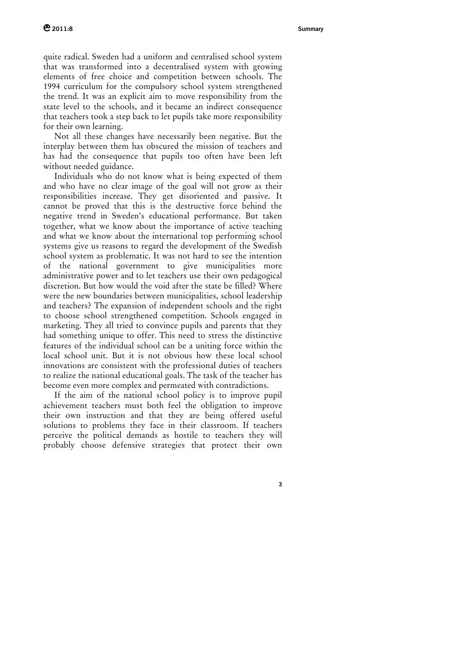quite radical. Sweden had a uniform and centralised school system that was transformed into a decentralised system with growing elements of free choice and competition between schools. The 1994 curriculum for the compulsory school system strengthened the trend. It was an explicit aim to move responsibility from the state level to the schools, and it became an indirect consequence that teachers took a step back to let pupils take more responsibility for their own learning.

Not all these changes have necessarily been negative. But the interplay between them has obscured the mission of teachers and has had the consequence that pupils too often have been left without needed guidance.

Individuals who do not know what is being expected of them and who have no clear image of the goal will not grow as their responsibilities increase. They get disoriented and passive. It cannot be proved that this is the destructive force behind the negative trend in Sweden's educational performance. But taken together, what we know about the importance of active teaching and what we know about the international top performing school systems give us reasons to regard the development of the Swedish school system as problematic. It was not hard to see the intention of the national government to give municipalities more administrative power and to let teachers use their own pedagogical discretion. But how would the void after the state be filled? Where were the new boundaries between municipalities, school leadership and teachers? The expansion of independent schools and the right to choose school strengthened competition. Schools engaged in marketing. They all tried to convince pupils and parents that they had something unique to offer. This need to stress the distinctive features of the individual school can be a uniting force within the local school unit. But it is not obvious how these local school innovations are consistent with the professional duties of teachers to realize the national educational goals. The task of the teacher has become even more complex and permeated with contradictions.

If the aim of the national school policy is to improve pupil achievement teachers must both feel the obligation to improve their own instruction and that they are being offered useful solutions to problems they face in their classroom. If teachers perceive the political demands as hostile to teachers they will probably choose defensive strategies that protect their own

**3**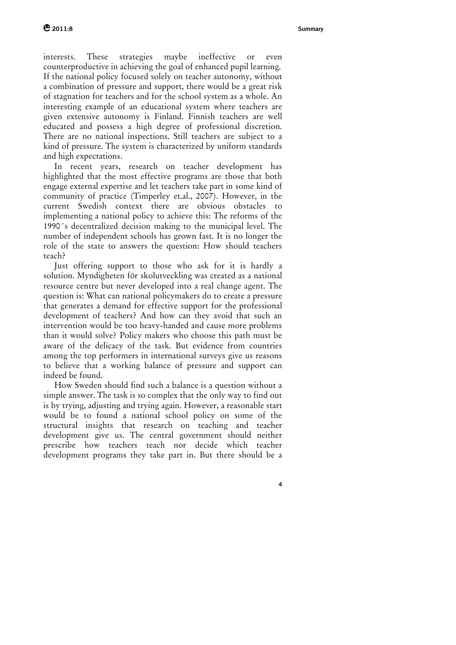**4**

interests. These strategies maybe ineffective or even counterproductive in achieving the goal of enhanced pupil learning. If the national policy focused solely on teacher autonomy, without a combination of pressure and support, there would be a great risk of stagnation for teachers and for the school system as a whole. An interesting example of an educational system where teachers are given extensive autonomy is Finland. Finnish teachers are well educated and possess a high degree of professional discretion. There are no national inspections. Still teachers are subject to a kind of pressure. The system is characterized by uniform standards and high expectations.

In recent years, research on teacher development has highlighted that the most effective programs are those that both engage external expertise and let teachers take part in some kind of community of practice (Timperley et.al., 2007). However, in the current Swedish context there are obvious obstacles to implementing a national policy to achieve this: The reforms of the 1990´s decentralized decision making to the municipal level. The number of independent schools has grown fast. It is no longer the role of the state to answers the question: How should teachers teach?

Just offering support to those who ask for it is hardly a solution. Myndigheten för skolutveckling was created as a national resource centre but never developed into a real change agent. The question is: What can national policymakers do to create a pressure that generates a demand for effective support for the professional development of teachers? And how can they avoid that such an intervention would be too heavy-handed and cause more problems than it would solve? Policy makers who choose this path must be aware of the delicacy of the task. But evidence from countries among the top performers in international surveys give us reasons to believe that a working balance of pressure and support can indeed be found.

How Sweden should find such a balance is a question without a simple answer. The task is so complex that the only way to find out is by trying, adjusting and trying again. However, a reasonable start would be to found a national school policy on some of the structural insights that research on teaching and teacher development give us. The central government should neither prescribe how teachers teach nor decide which teacher development programs they take part in. But there should be a